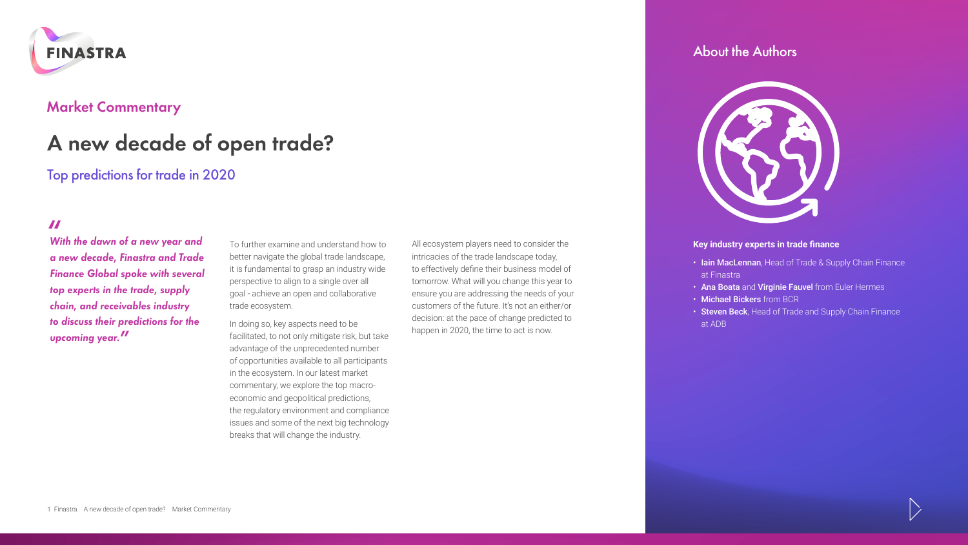

### **Market Commentary**

# **A new decade of open trade?**

## Top predictions for trade in 2020

**"** *With the dawn of a new year and a new decade, Finastra and Trade Finance Global spoke with several top experts in the trade, supply chain, and receivables industry to discuss their predictions for the upcoming year.***"**

To further examine and understand how to better navigate the global trade landscape, it is fundamental to grasp an industry wide perspective to align to a single over all goal - achieve an open and collaborative trade ecosystem.

In doing so, key aspects need to be facilitated, to not only mitigate risk, but take advantage of the unprecedented number of opportunities available to all participants in the ecosystem. In our latest market commentary, we explore the top macroeconomic and geopolitical predictions, the regulatory environment and compliance issues and some of the next big technology breaks that will change the industry.

All ecosystem players need to consider the intricacies of the trade landscape today, to effectively define their business model of tomorrow. What will you change this year to ensure you are addressing the needs of your customers of the future. It's not an either/or decision: at the pace of change predicted to happen in 2020, the time to act is now.

### About the Authors



### **Key industry experts in trade finance**

- Iain MacLennan, Head of Trade & Supply Chain Finance at Finastra
- Ana Boata and Virginie Fauvel from Euler Hermes
- Michael Bickers from BCR
- Steven Beck, Head of Trade and Supply Chain Finance at ADB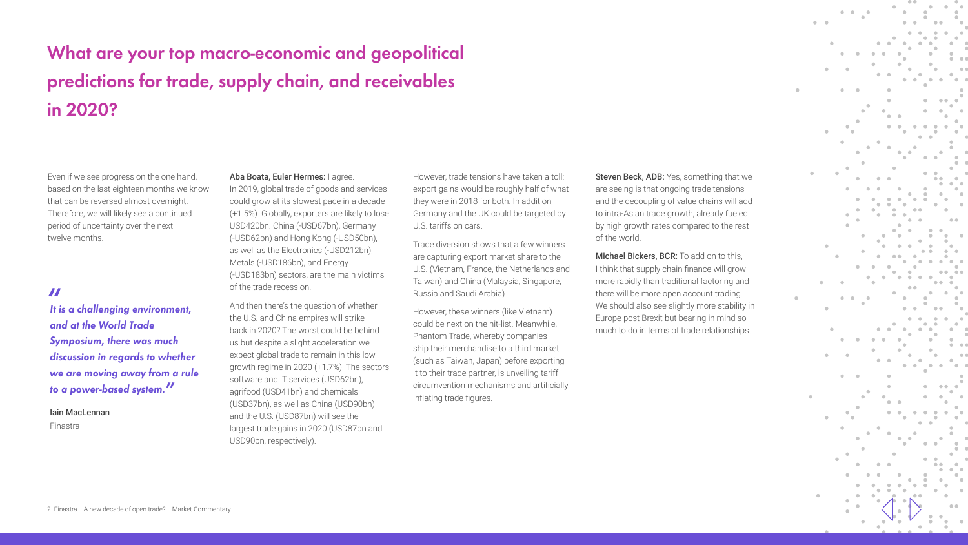# **What are your top macro-economic and geopolitical predictions for trade, supply chain, and receivables in 2020?**

Even if we see progress on the one hand, based on the last eighteen months we know that can be reversed almost overnight. Therefore, we will likely see a continued period of uncertainty over the next twelve months.

**"** *It is a challenging environment, and at the World Trade Symposium, there was much discussion in regards to whether we are moving away from a rule to a power-based system.***"**

Iain MacLennan Finastra

### Aba Boata, Euler Hermes: I agree.

In 2019, global trade of goods and services could grow at its slowest pace in a decade (+1.5%). Globally, exporters are likely to lose USD420bn. China (-USD67bn), Germany (-USD62bn) and Hong Kong (-USD50bn), as well as the Electronics (-USD212bn), Metals (-USD186bn), and Energy (-USD183bn) sectors, are the main victims of the trade recession.

And then there's the question of whether the U.S. and China empires will strike back in 2020? The worst could be behind us but despite a slight acceleration we expect global trade to remain in this low growth regime in 2020 (+1.7%). The sectors software and IT services (USD62bn), agrifood (USD41bn) and chemicals (USD37bn), as well as China (USD90bn) and the U.S. (USD87bn) will see the largest trade gains in 2020 (USD87bn and USD90bn, respectively).

However, trade tensions have taken a toll: export gains would be roughly half of what they were in 2018 for both. In addition, Germany and the UK could be targeted by U.S. tariffs on cars.

Trade diversion shows that a few winners are capturing export market share to the U.S. (Vietnam, France, the Netherlands and Taiwan) and China (Malaysia, Singapore, Russia and Saudi Arabia).

However, these winners (like Vietnam) could be next on the hit-list. Meanwhile, Phantom Trade, whereby companies ship their merchandise to a third market (such as Taiwan, Japan) before exporting it to their trade partner, is unveiling tariff circumvention mechanisms and artificially inflating trade figures.

Steven Beck, ADB: Yes, something that we are seeing is that ongoing trade tensions and the decoupling of value chains will add to intra-Asian trade growth, already fueled by high growth rates compared to the rest of the world.

Michael Bickers, BCR: To add on to this. I think that supply chain finance will grow more rapidly than traditional factoring and there will be more open account trading. We should also see slightly more stability in Europe post Brexit but bearing in mind so much to do in terms of trade relationships.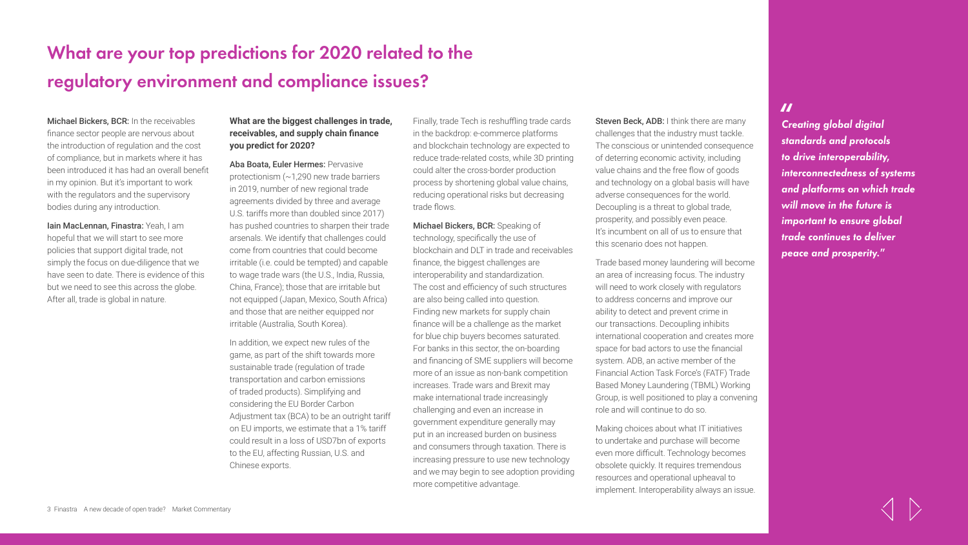# **What are your top predictions for 2020 related to the regulatory environment and compliance issues?**

### Michael Bickers, BCR: In the receivables

finance sector people are nervous about the introduction of regulation and the cost of compliance, but in markets where it has been introduced it has had an overall benefit in my opinion. But it's important to work with the regulators and the supervisory bodies during any introduction.

Iain MacLennan, Finastra: Yeah, I am hopeful that we will start to see more policies that support digital trade, not simply the focus on due-diligence that we have seen to date. There is evidence of this but we need to see this across the globe. After all, trade is global in nature.

### **What are the biggest challenges in trade, receivables, and supply chain finance you predict for 2020?**

Aba Boata, Euler Hermes: Pervasive protectionism (~1,290 new trade barriers in 2019, number of new regional trade agreements divided by three and average U.S. tariffs more than doubled since 2017) has pushed countries to sharpen their trade arsenals. We identify that challenges could come from countries that could become irritable (i.e. could be tempted) and capable to wage trade wars (the U.S., India, Russia, China, France); those that are irritable but not equipped (Japan, Mexico, South Africa) and those that are neither equipped nor irritable (Australia, South Korea).

In addition, we expect new rules of the game, as part of the shift towards more sustainable trade (regulation of trade transportation and carbon emissions of traded products). Simplifying and considering the EU Border Carbon Adjustment tax (BCA) to be an outright tariff on EU imports, we estimate that a 1% tariff could result in a loss of USD7bn of exports to the EU, affecting Russian, U.S. and Chinese exports.

Finally, trade Tech is reshuffling trade cards in the backdrop: e-commerce platforms and blockchain technology are expected to reduce trade-related costs, while 3D printing could alter the cross-border production process by shortening global value chains, reducing operational risks but decreasing trade flows.

Michael Bickers, BCR: Speaking of technology, specifically the use of blockchain and DLT in trade and receivables finance, the biggest challenges are interoperability and standardization. The cost and efficiency of such structures ar[e](http://www.finastra.com/) also being called into question. Finding new markets for supply chain finance will be a challenge as the market for blue chip buyers becomes saturated. For banks in this sector, the on-boarding and financing of SME suppliers will become more of an issue as non-bank competition increases. Trade wars and Brexit may make international trade increasingly challenging and even an increase in government expenditure generally may put in an increased burden on business and consumers through taxation. There is increasing pressure to use new technology and we may begin to see adoption providing more competitive advantage.

Steven Beck, ADB: I think there are many challenges that the industry must tackle. The conscious or unintended consequence of deterring economic activity, including value chains and the free flow of goods and technology on a global basis will have adverse consequences for the world. Decoupling is a threat to global trade, prosperity, and possibly even peace. It's incumbent on all of us to ensure that this scenario does not happen.

Trade based money laundering will become an area of increasing focus. The industry will need to work closely with regulators to address concerns and improve our ability to detect and prevent crime in our transactions. Decoupling inhibits international cooperation and creates more space for bad actors to use the financial system. ADB, an active member of the Financial Action Task Force's (FATF) Trade Based Money Laundering (TBML) Working Group, is well positioned to play a convening role and will continue to do so.

Making choices about what IT initiatives to undertake and purchase will become even more difficult. Technology becomes obsolete quickly. It requires tremendous resources and operational upheaval to implement. Interoperability always an issue.

**"** *Creating global digital standards and protocols to drive interoperability, interconnectedness of systems and platforms on which trade will move in the future is important to ensure global trade continues to deliver peace and prosperity."*